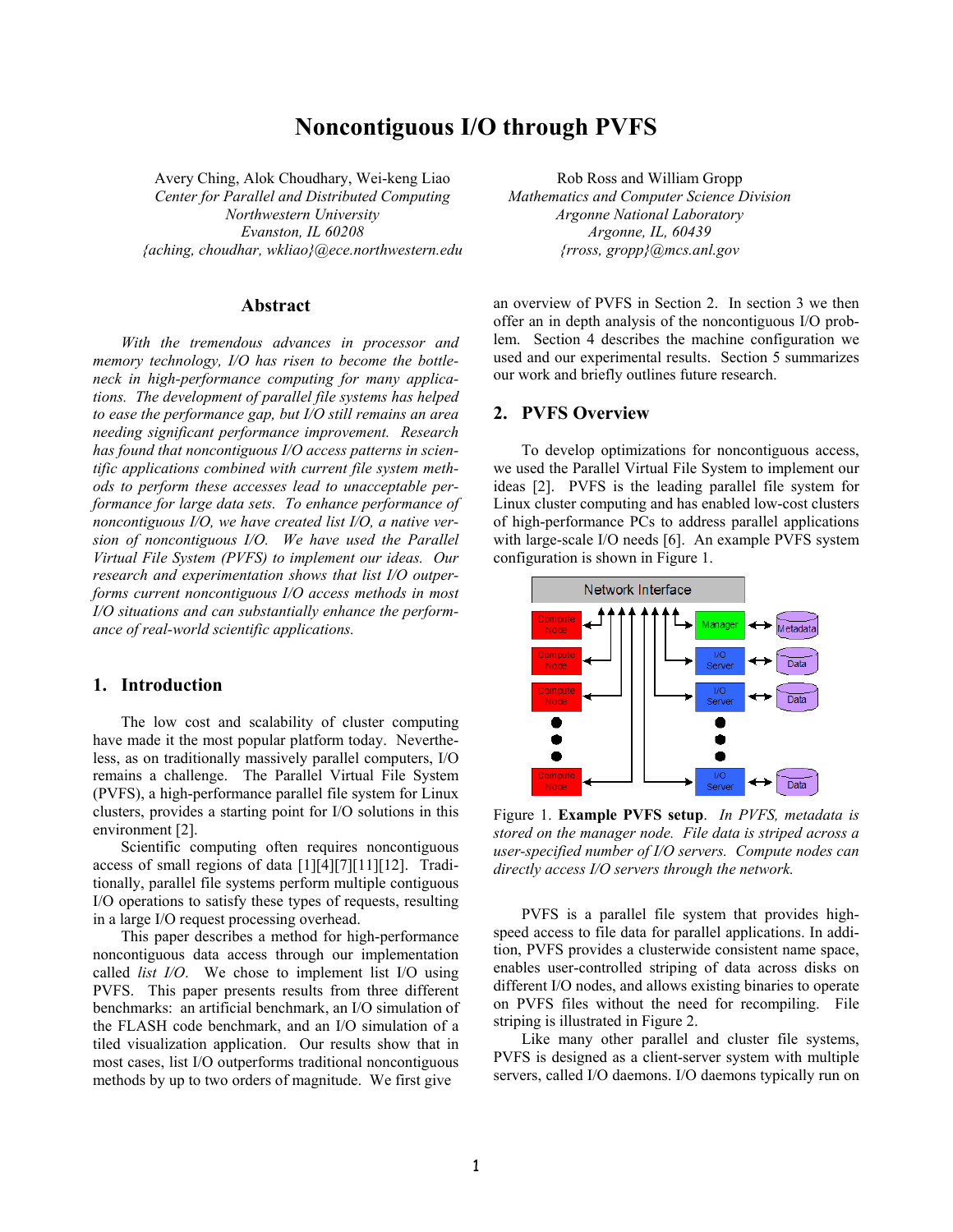# **Noncontiguous I/O through PVFS**

Avery Ching, Alok Choudhary, Wei-keng Liao *Center for Parallel and Distributed Computing Northwestern University Evanston, IL 60208 {aching, choudhar, wkliao}@ece.northwestern.edu* 

## **Abstract**

*With the tremendous advances in processor and memory technology, I/O has risen to become the bottleneck in high-performance computing for many applications. The development of parallel file systems has helped to ease the performance gap, but I/O still remains an area needing significant performance improvement. Research has found that noncontiguous I/O access patterns in scientific applications combined with current file system methods to perform these accesses lead to unacceptable performance for large data sets. To enhance performance of noncontiguous I/O, we have created list I/O, a native version of noncontiguous I/O. We have used the Parallel Virtual File System (PVFS) to implement our ideas. Our research and experimentation shows that list I/O outperforms current noncontiguous I/O access methods in most I/O situations and can substantially enhance the performance of real-world scientific applications.* 

# **1. Introduction**

The low cost and scalability of cluster computing have made it the most popular platform today. Nevertheless, as on traditionally massively parallel computers, I/O remains a challenge. The Parallel Virtual File System (PVFS), a high-performance parallel file system for Linux clusters, provides a starting point for I/O solutions in this environment [\[2\].](#page-9-0)

Scientific computing often requires noncontiguous access of small regions of data [\[1\]](#page-9-1)[\[4\]](#page-9-2)[\[7\]](#page-9-3)[\[11\]](#page-9-4)[\[12\].](#page-9-5) Traditionally, parallel file systems perform multiple contiguous I/O operations to satisfy these types of requests, resulting in a large I/O request processing overhead.

This paper describes a method for high-performance noncontiguous data access through our implementation called *list I/O*. We chose to implement list I/O using PVFS. This paper presents results from three different benchmarks: an artificial benchmark, an I/O simulation of the FLASH code benchmark, and an I/O simulation of a tiled visualization application. Our results show that in most cases, list I/O outperforms traditional noncontiguous methods by up to two orders of magnitude. We first give

Rob Ross and William Gropp *Mathematics and Computer Science Division Argonne National Laboratory Argonne, IL, 60439 {rross, gropp}@mcs.anl.gov* 

an overview of PVFS in Section [2.](#page-0-0) In section [3](#page-1-0) we then offer an in depth analysis of the noncontiguous I/O problem. Section [4](#page-3-0) describes the machine configuration we used and our experimental results. Section [5](#page-8-0) summarizes our work and briefly outlines future research.

# <span id="page-0-0"></span>**2. PVFS Overview**

To develop optimizations for noncontiguous access, we used the Parallel Virtual File System to implement our ideas [\[2\].](#page-9-0) PVFS is the leading parallel file system for Linux cluster computing and has enabled low-cost clusters of high-performance PCs to address parallel applications with large-scale I/O needs [\[6\].](#page-9-6) An example PVFS system configuration is shown in [Figure 1.](#page-0-1)

<span id="page-0-1"></span>

Figure 1. **Example PVFS setup**. *In PVFS, metadata is stored on the manager node. File data is striped across a user-specified number of I/O servers. Compute nodes can directly access I/O servers through the network.* 

PVFS is a parallel file system that provides highspeed access to file data for parallel applications. In addition, PVFS provides a clusterwide consistent name space, enables user-controlled striping of data across disks on different I/O nodes, and allows existing binaries to operate on PVFS files without the need for recompiling. File striping is illustrated in [Figure 2.](#page-1-1)

Like many other parallel and cluster file systems, PVFS is designed as a client-server system with multiple servers, called I/O daemons. I/O daemons typically run on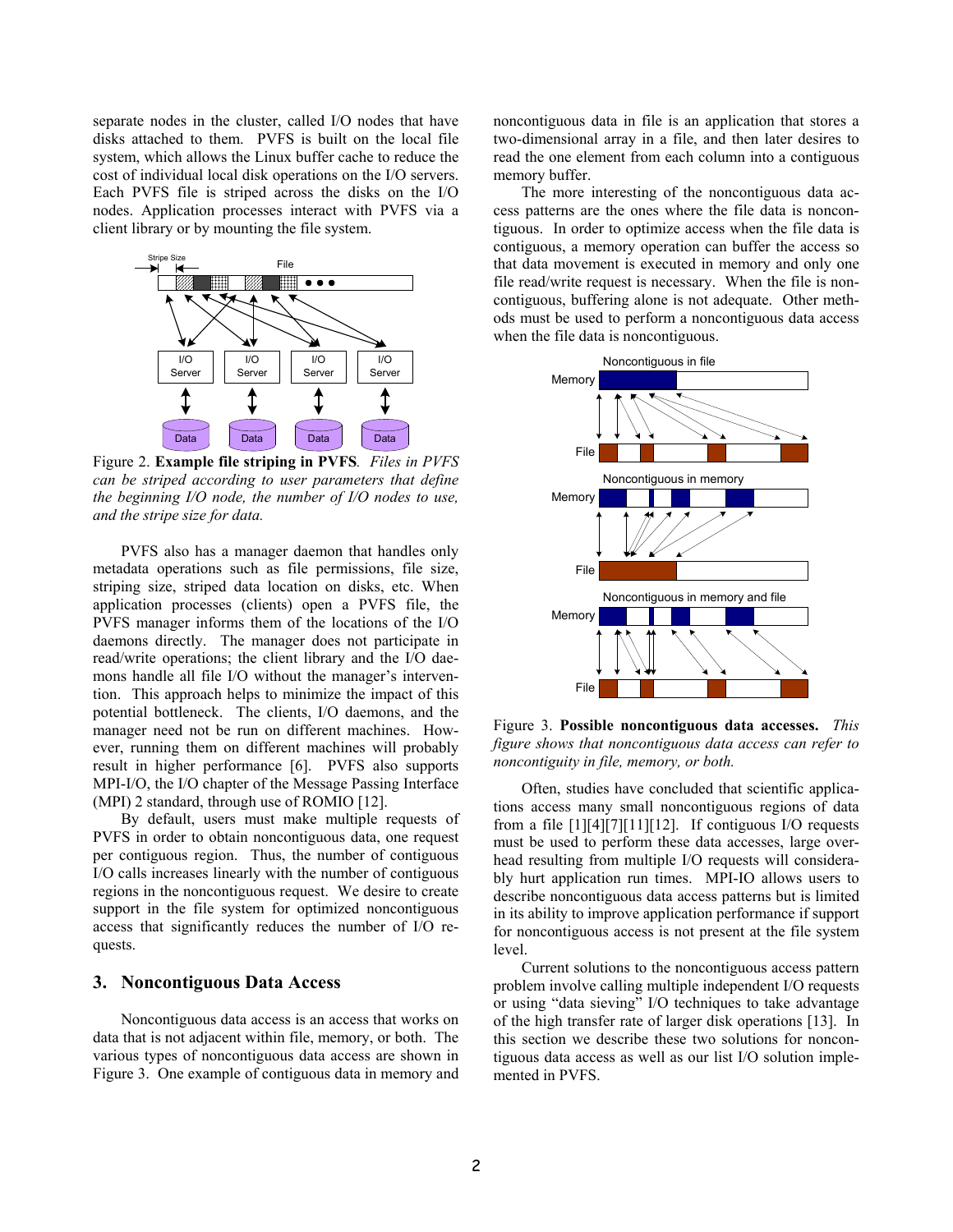separate nodes in the cluster, called I/O nodes that have disks attached to them. PVFS is built on the local file system, which allows the Linux buffer cache to reduce the cost of individual local disk operations on the I/O servers. Each PVFS file is striped across the disks on the I/O nodes. Application processes interact with PVFS via a client library or by mounting the file system.

<span id="page-1-1"></span>

Figure 2. **Example file striping in PVFS***. Files in PVFS can be striped according to user parameters that define the beginning I/O node, the number of I/O nodes to use, and the stripe size for data.*

PVFS also has a manager daemon that handles only metadata operations such as file permissions, file size, striping size, striped data location on disks, etc. When application processes (clients) open a PVFS file, the PVFS manager informs them of the locations of the I/O daemons directly. The manager does not participate in read/write operations; the client library and the I/O daemons handle all file I/O without the manager's intervention. This approach helps to minimize the impact of this potential bottleneck. The clients, I/O daemons, and the manager need not be run on different machines. However, running them on different machines will probably result in higher performance [\[6\].](#page-9-6) PVFS also supports MPI-I/O, the I/O chapter of the Message Passing Interface (MPI) 2 standard, through use of ROMIO [\[12\].](#page-9-5)

By default, users must make multiple requests of PVFS in order to obtain noncontiguous data, one request per contiguous region. Thus, the number of contiguous I/O calls increases linearly with the number of contiguous regions in the noncontiguous request. We desire to create support in the file system for optimized noncontiguous access that significantly reduces the number of I/O requests.

# <span id="page-1-0"></span>**3. Noncontiguous Data Access**

Noncontiguous data access is an access that works on data that is not adjacent within file, memory, or both. The various types of noncontiguous data access are shown in [Figure 3.](#page-1-2) One example of contiguous data in memory and noncontiguous data in file is an application that stores a two-dimensional array in a file, and then later desires to read the one element from each column into a contiguous memory buffer.

The more interesting of the noncontiguous data access patterns are the ones where the file data is noncontiguous. In order to optimize access when the file data is contiguous, a memory operation can buffer the access so that data movement is executed in memory and only one file read/write request is necessary. When the file is noncontiguous, buffering alone is not adequate. Other methods must be used to perform a noncontiguous data access when the file data is noncontiguous.

<span id="page-1-2"></span>

Figure 3. **Possible noncontiguous data accesses.** *This figure shows that noncontiguous data access can refer to noncontiguity in file, memory, or both.* 

Often, studies have concluded that scientific applications access many small noncontiguous regions of data from a file [\[1\]](#page-9-1)[\[4\]](#page-9-2)[\[7\]](#page-9-3)[\[11\]](#page-9-4)[\[12\].](#page-9-5) If contiguous I/O requests must be used to perform these data accesses, large overhead resulting from multiple I/O requests will considerably hurt application run times. MPI-IO allows users to describe noncontiguous data access patterns but is limited in its ability to improve application performance if support for noncontiguous access is not present at the file system level.

Current solutions to the noncontiguous access pattern problem involve calling multiple independent I/O requests or using "data sieving" I/O techniques to take advantage of the high transfer rate of larger disk operations [\[13\].](#page-9-7) In this section we describe these two solutions for noncontiguous data access as well as our list I/O solution implemented in PVFS.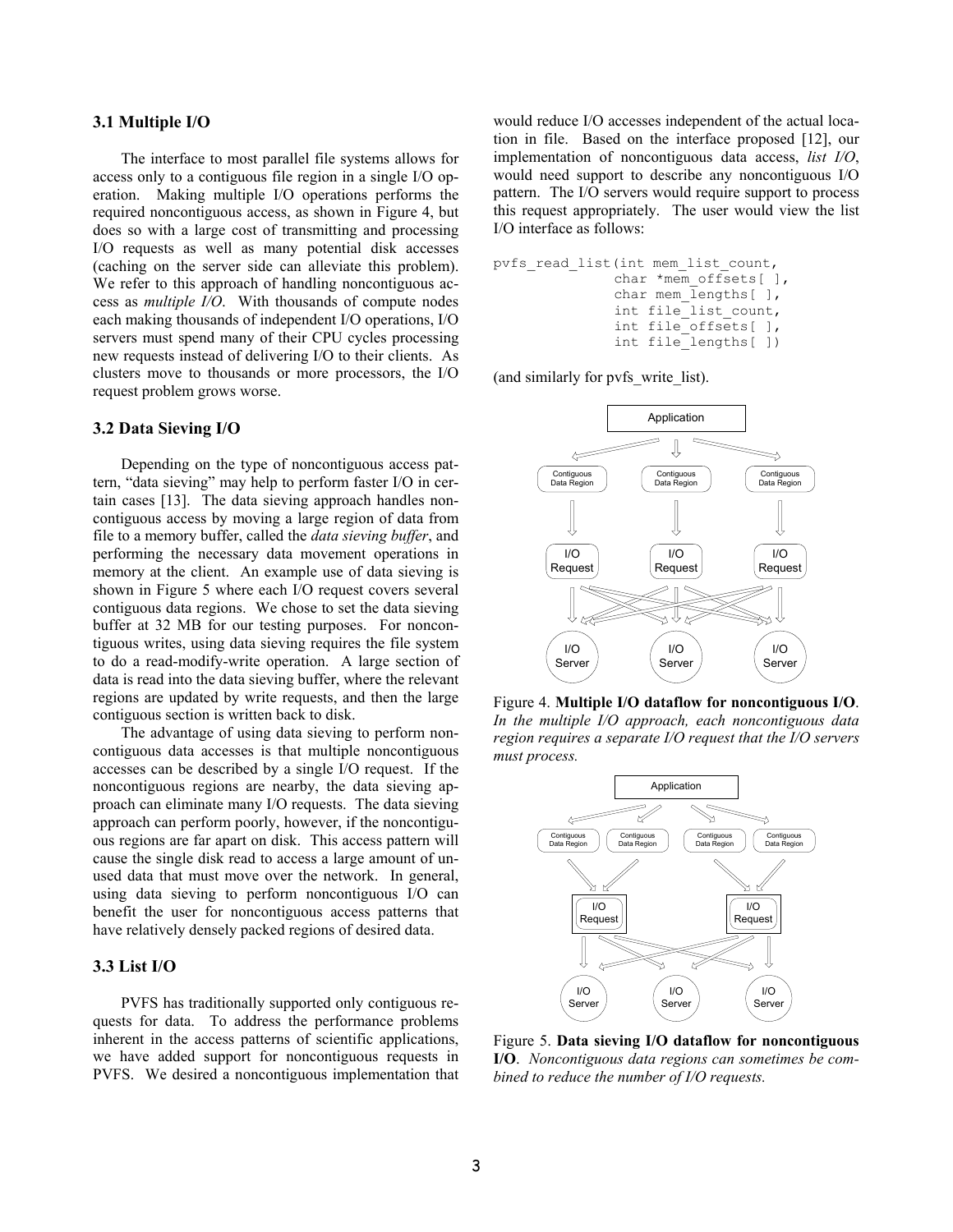# **[3.](#page-1-0)1 Multiple I/O**

The interface to most parallel file systems allows for access only to a contiguous file region in a single I/O operation. Making multiple I/O operations performs the required noncontiguous access, as shown in [Figure 4,](#page-2-0) but does so with a large cost of transmitting and processing I/O requests as well as many potential disk accesses (caching on the server side can alleviate this problem). We refer to this approach of handling noncontiguous access as *multiple I/O*. With thousands of compute nodes each making thousands of independent I/O operations, I/O servers must spend many of their CPU cycles processing new requests instead of delivering I/O to their clients. As clusters move to thousands or more processors, the I/O request problem grows worse.

## **[3.](#page-1-0)2 Data Sieving I/O**

Depending on the type of noncontiguous access pattern, "data sieving" may help to perform faster I/O in certain cases [\[13\].](#page-9-7) The data sieving approach handles noncontiguous access by moving a large region of data from file to a memory buffer, called the *data sieving buffer*, and performing the necessary data movement operations in memory at the client. An example use of data sieving is shown in [Figure 5](#page-2-1) where each I/O request covers several contiguous data regions. We chose to set the data sieving buffer at 32 MB for our testing purposes. For noncontiguous writes, using data sieving requires the file system to do a read-modify-write operation. A large section of data is read into the data sieving buffer, where the relevant regions are updated by write requests, and then the large contiguous section is written back to disk.

The advantage of using data sieving to perform noncontiguous data accesses is that multiple noncontiguous accesses can be described by a single I/O request. If the noncontiguous regions are nearby, the data sieving approach can eliminate many I/O requests. The data sieving approach can perform poorly, however, if the noncontiguous regions are far apart on disk. This access pattern will cause the single disk read to access a large amount of unused data that must move over the network. In general, using data sieving to perform noncontiguous I/O can benefit the user for noncontiguous access patterns that have relatively densely packed regions of desired data.

# **[3.](#page-1-0)3 List I/O**

PVFS has traditionally supported only contiguous requests for data. To address the performance problems inherent in the access patterns of scientific applications, we have added support for noncontiguous requests in PVFS. We desired a noncontiguous implementation that

would reduce I/O accesses independent of the actual location in file. Based on the interface proposed [\[12\],](#page-9-5) our implementation of noncontiguous data access, *list I/O*, would need support to describe any noncontiguous I/O pattern. The I/O servers would require support to process this request appropriately. The user would view the list I/O interface as follows:

```
pvfs read list(int mem list count,
     char *mem offsets[ ],
     char mem \bar{l}engths[ ],
     int file<sup>list</sup> count,
      int file_offsets[ ], 
      int file_lengths[ ])
```
<span id="page-2-0"></span>(and similarly for pvfs\_write\_list).



Figure 4. **Multiple I/O dataflow for noncontiguous I/O**. *In the multiple I/O approach, each noncontiguous data region requires a separate I/O request that the I/O servers must process.* 

<span id="page-2-1"></span>

Figure 5. **Data sieving I/O dataflow for noncontiguous I/O**. *Noncontiguous data regions can sometimes be combined to reduce the number of I/O requests.*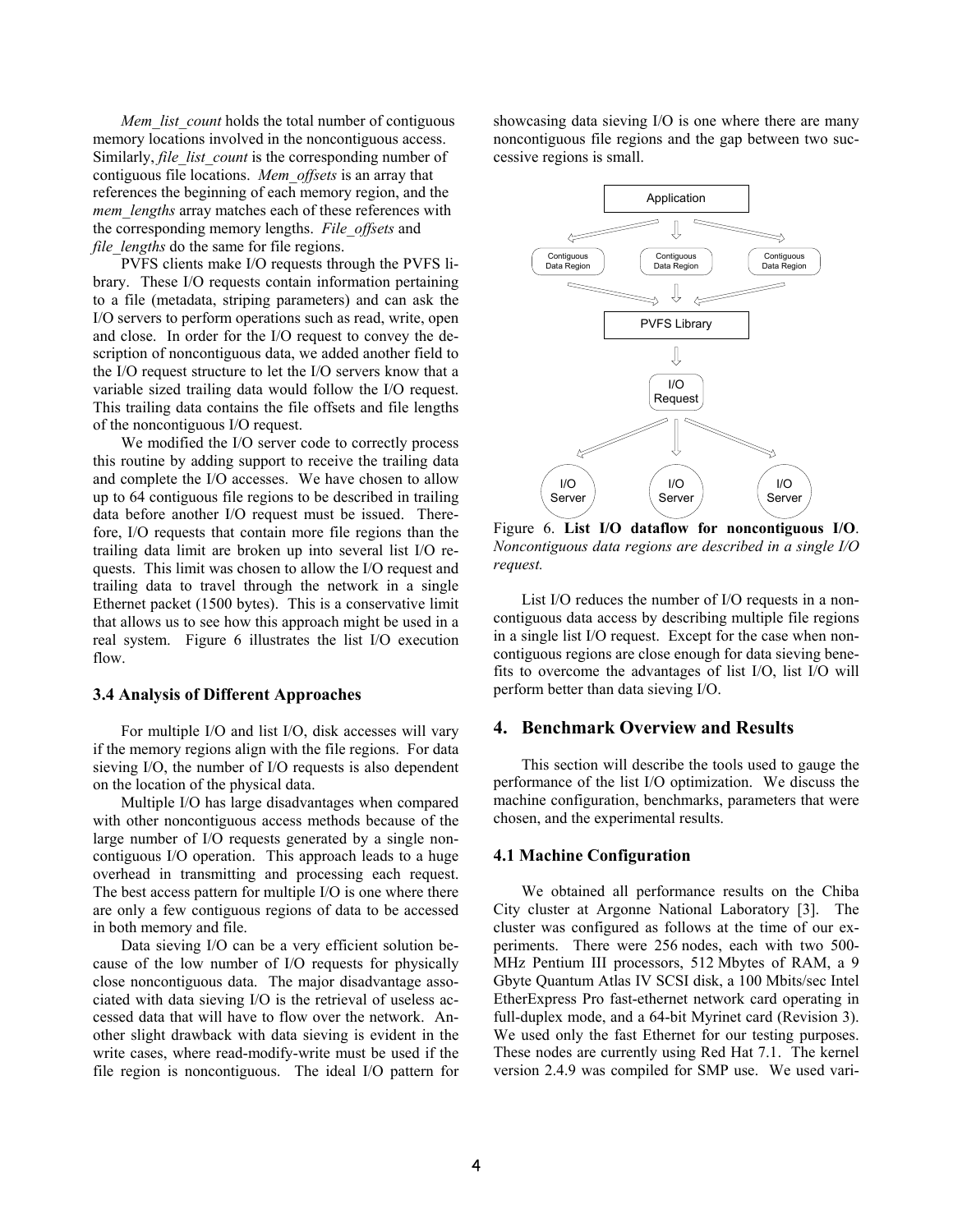*Mem\_list\_count* holds the total number of contiguous memory locations involved in the noncontiguous access. Similarly, *file list count* is the corresponding number of contiguous file locations. *Mem\_offsets* is an array that references the beginning of each memory region, and the *mem\_lengths* array matches each of these references with the corresponding memory lengths. *File\_offsets* and *file lengths* do the same for file regions.

PVFS clients make I/O requests through the PVFS library. These I/O requests contain information pertaining to a file (metadata, striping parameters) and can ask the I/O servers to perform operations such as read, write, open and close. In order for the I/O request to convey the description of noncontiguous data, we added another field to the I/O request structure to let the I/O servers know that a variable sized trailing data would follow the I/O request. This trailing data contains the file offsets and file lengths of the noncontiguous I/O request.

We modified the I/O server code to correctly process this routine by adding support to receive the trailing data and complete the I/O accesses. We have chosen to allow up to 64 contiguous file regions to be described in trailing data before another I/O request must be issued. Therefore, I/O requests that contain more file regions than the trailing data limit are broken up into several list I/O requests. This limit was chosen to allow the I/O request and trailing data to travel through the network in a single Ethernet packet (1500 bytes). This is a conservative limit that allows us to see how this approach might be used in a real system. [Figure 6](#page-3-1) illustrates the list I/O execution flow.

# **[3.](#page-1-0)4 Analysis of Different Approaches**

For multiple I/O and list I/O, disk accesses will vary if the memory regions align with the file regions. For data sieving I/O, the number of I/O requests is also dependent on the location of the physical data.

Multiple I/O has large disadvantages when compared with other noncontiguous access methods because of the large number of I/O requests generated by a single noncontiguous I/O operation. This approach leads to a huge overhead in transmitting and processing each request. The best access pattern for multiple I/O is one where there are only a few contiguous regions of data to be accessed in both memory and file.

Data sieving I/O can be a very efficient solution because of the low number of I/O requests for physically close noncontiguous data. The major disadvantage associated with data sieving I/O is the retrieval of useless accessed data that will have to flow over the network. Another slight drawback with data sieving is evident in the write cases, where read-modify-write must be used if the file region is noncontiguous. The ideal I/O pattern for showcasing data sieving I/O is one where there are many noncontiguous file regions and the gap between two successive regions is small.

<span id="page-3-1"></span>

 Figure 6. **List I/O dataflow for noncontiguous I/O**. *Noncontiguous data regions are described in a single I/O request.* 

List I/O reduces the number of I/O requests in a noncontiguous data access by describing multiple file regions in a single list I/O request. Except for the case when noncontiguous regions are close enough for data sieving benefits to overcome the advantages of list I/O, list I/O will perform better than data sieving I/O.

# <span id="page-3-0"></span>**4. Benchmark Overview and Results**

This section will describe the tools used to gauge the performance of the list I/O optimization. We discuss the machine configuration, benchmarks, parameters that were chosen, and the experimental results.

## **[4.](#page-3-0)1 Machine Configuration**

We obtained all performance results on the Chiba City cluster at Argonne National Laboratory [\[3\].](#page-9-8) The cluster was configured as follows at the time of our experiments. There were 256 nodes, each with two 500- MHz Pentium III processors, 512 Mbytes of RAM, a 9 Gbyte Quantum Atlas IV SCSI disk, a 100 Mbits/sec Intel EtherExpress Pro fast-ethernet network card operating in full-duplex mode, and a 64-bit Myrinet card (Revision 3). We used only the fast Ethernet for our testing purposes. These nodes are currently using Red Hat 7.1. The kernel version 2.4.9 was compiled for SMP use. We used vari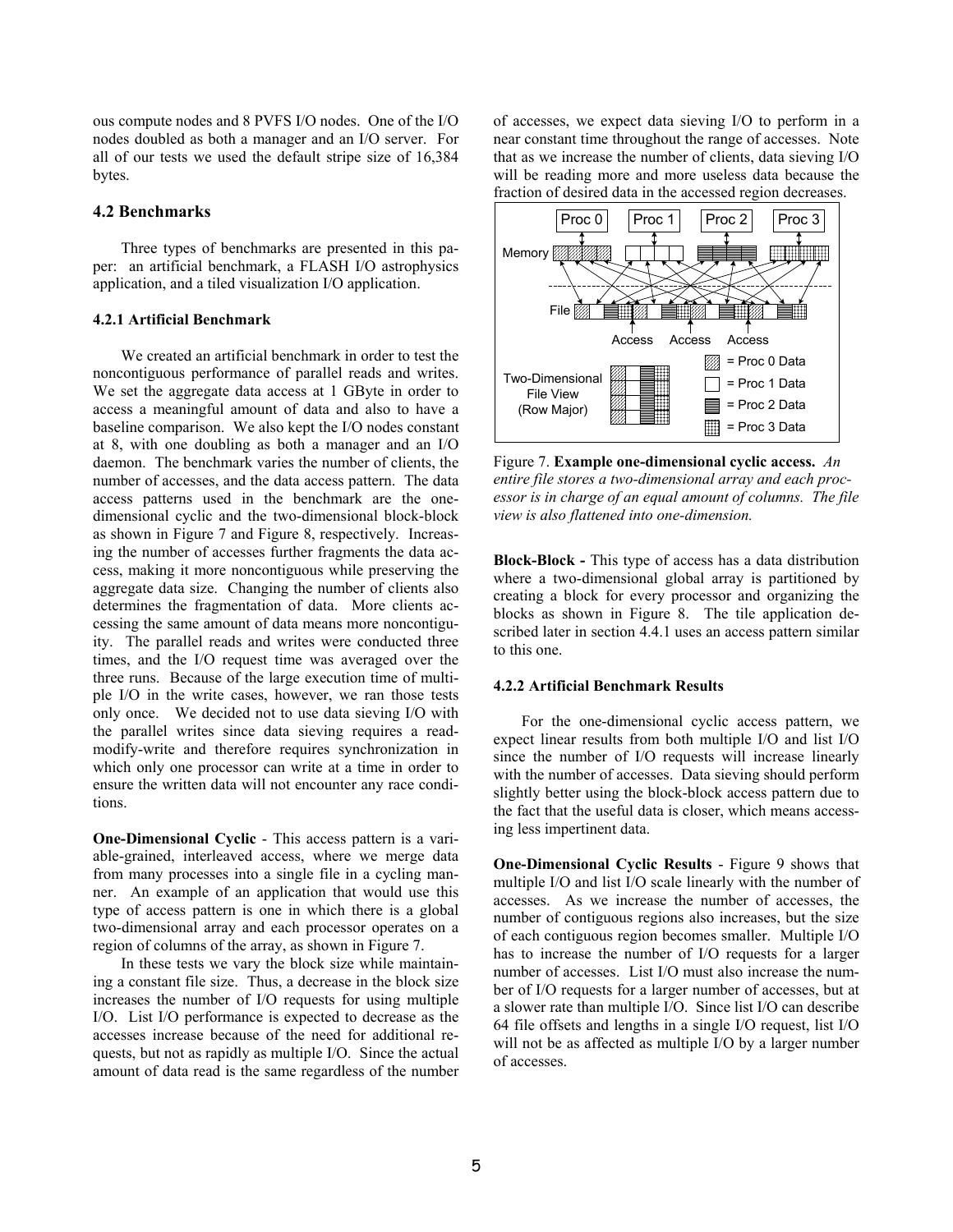ous compute nodes and 8 PVFS I/O nodes. One of the I/O nodes doubled as both a manager and an I/O server. For all of our tests we used the default stripe size of 16,384 bytes.

## **[4.](#page-3-0)2 Benchmarks**

Three types of benchmarks are presented in this paper: an artificial benchmark, a FLASH I/O astrophysics application, and a tiled visualization I/O application.

#### **[4.](#page-3-0)2.1 Artificial Benchmark**

We created an artificial benchmark in order to test the noncontiguous performance of parallel reads and writes. We set the aggregate data access at 1 GByte in order to access a meaningful amount of data and also to have a baseline comparison. We also kept the I/O nodes constant at 8, with one doubling as both a manager and an I/O daemon. The benchmark varies the number of clients, the number of accesses, and the data access pattern. The data access patterns used in the benchmark are the onedimensional cyclic and the two-dimensional block-block as shown in [Figure 7](#page-4-0) and [Figure 8,](#page-5-0) respectively. Increasing the number of accesses further fragments the data access, making it more noncontiguous while preserving the aggregate data size. Changing the number of clients also determines the fragmentation of data. More clients accessing the same amount of data means more noncontiguity. The parallel reads and writes were conducted three times, and the I/O request time was averaged over the three runs. Because of the large execution time of multiple I/O in the write cases, however, we ran those tests only once. We decided not to use data sieving I/O with the parallel writes since data sieving requires a readmodify-write and therefore requires synchronization in which only one processor can write at a time in order to ensure the written data will not encounter any race conditions.

**One-Dimensional Cyclic** - This access pattern is a variable-grained, interleaved access, where we merge data from many processes into a single file in a cycling manner. An example of an application that would use this type of access pattern is one in which there is a global two-dimensional array and each processor operates on a region of columns of the array, as shown in [Figure 7.](#page-4-0)

In these tests we vary the block size while maintaining a constant file size. Thus, a decrease in the block size increases the number of I/O requests for using multiple I/O. List I/O performance is expected to decrease as the accesses increase because of the need for additional requests, but not as rapidly as multiple I/O. Since the actual amount of data read is the same regardless of the number

of accesses, we expect data sieving I/O to perform in a near constant time throughout the range of accesses. Note that as we increase the number of clients, data sieving I/O will be reading more and more useless data because the fraction of desired data in the accessed region decreases.

<span id="page-4-0"></span>

Figure 7. **Example one-dimensional cyclic access.** *An entire file stores a two-dimensional array and each processor is in charge of an equal amount of columns. The file view is also flattened into one-dimension.*

**Block-Block -** This type of access has a data distribution where a two-dimensional global array is partitioned by creating a block for every processor and organizing the blocks as shown in [Figure 8.](#page-5-0) The tile application described later in section [4.](#page-3-0)4.1 uses an access pattern similar to this one.

#### **[4.2](#page-3-0).2 Artificial Benchmark Results**

For the one-dimensional cyclic access pattern, we expect linear results from both multiple I/O and list I/O since the number of I/O requests will increase linearly with the number of accesses. Data sieving should perform slightly better using the block-block access pattern due to the fact that the useful data is closer, which means accessing less impertinent data.

**One-Dimensional Cyclic Results** - [Figure 9](#page-5-1) shows that multiple I/O and list I/O scale linearly with the number of accesses. As we increase the number of accesses, the number of contiguous regions also increases, but the size of each contiguous region becomes smaller. Multiple I/O has to increase the number of I/O requests for a larger number of accesses. List I/O must also increase the number of I/O requests for a larger number of accesses, but at a slower rate than multiple I/O. Since list I/O can describe 64 file offsets and lengths in a single I/O request, list I/O will not be as affected as multiple I/O by a larger number of accesses.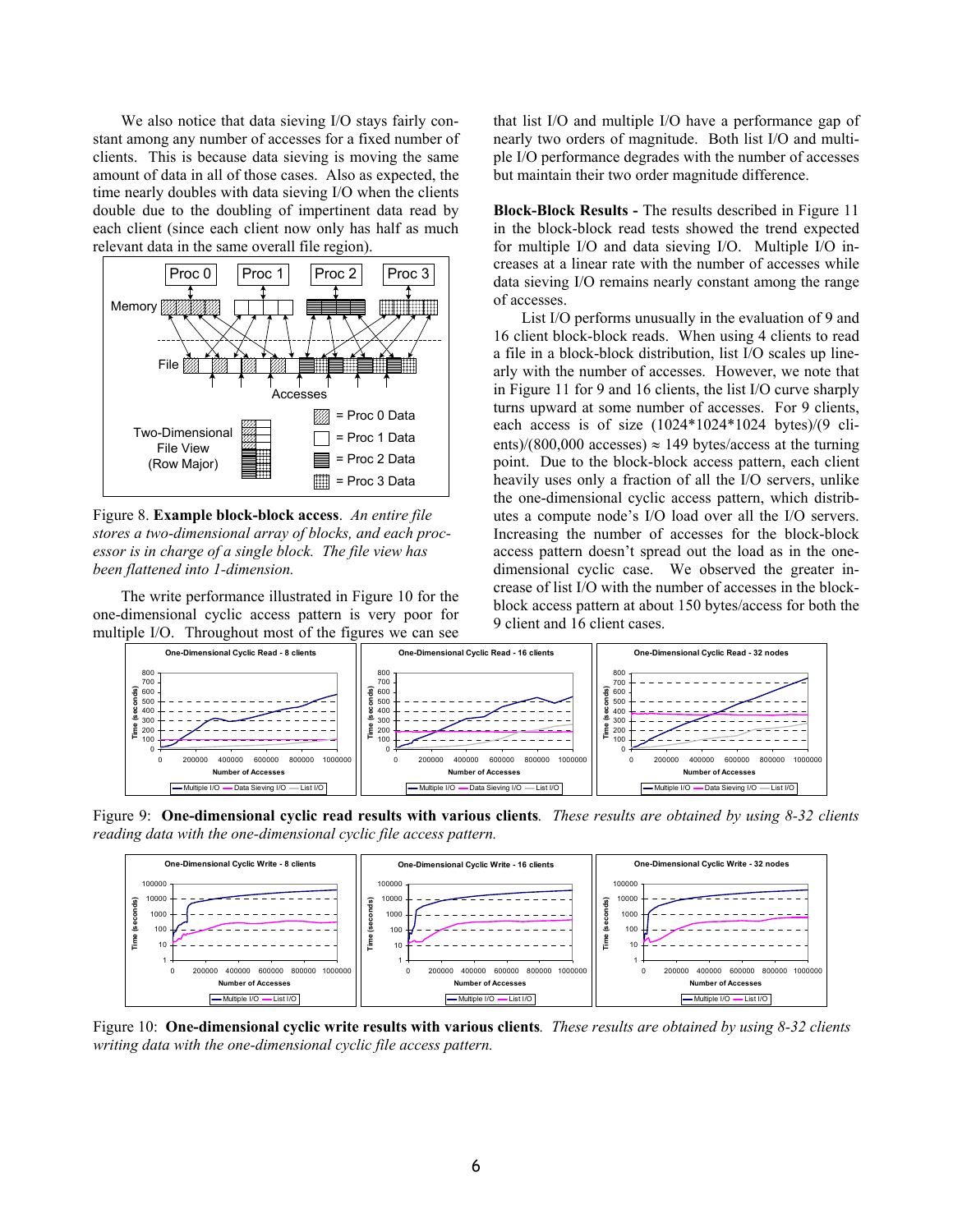We also notice that data sieving I/O stays fairly constant among any number of accesses for a fixed number of clients. This is because data sieving is moving the same amount of data in all of those cases. Also as expected, the time nearly doubles with data sieving I/O when the clients double due to the doubling of impertinent data read by each client (since each client now only has half as much relevant data in the same overall file region).

<span id="page-5-0"></span>

Figure 8. **Example block-block access**. *An entire file stores a two-dimensional array of blocks, and each processor is in charge of a single block. The file view has been flattened into 1-dimension.* 

The write performance illustrated in [Figure 10](#page-5-2) for the one-dimensional cyclic access pattern is very poor for multiple I/O. Throughout most of the figures we can see

that list I/O and multiple I/O have a performance gap of nearly two orders of magnitude. Both list I/O and multiple I/O performance degrades with the number of accesses but maintain their two order magnitude difference.

**Block-Block Results -** The results described in [Figure 11](#page-6-0)  in the block-block read tests showed the trend expected for multiple I/O and data sieving I/O. Multiple I/O increases at a linear rate with the number of accesses while data sieving I/O remains nearly constant among the range of accesses.

List I/O performs unusually in the evaluation of 9 and 16 client block-block reads. When using 4 clients to read a file in a block-block distribution, list I/O scales up linearly with the number of accesses. However, we note that in [Figure 11](#page-6-0) for 9 and 16 clients, the list I/O curve sharply turns upward at some number of accesses. For 9 clients, each access is of size (1024\*1024\*1024 bytes)/(9 clients)/(800,000 accesses)  $\approx$  149 bytes/access at the turning point. Due to the block-block access pattern, each client heavily uses only a fraction of all the I/O servers, unlike the one-dimensional cyclic access pattern, which distributes a compute node's I/O load over all the I/O servers. Increasing the number of accesses for the block-block access pattern doesn't spread out the load as in the onedimensional cyclic case. We observed the greater increase of list I/O with the number of accesses in the blockblock access pattern at about 150 bytes/access for both the 9 client and 16 client cases.

<span id="page-5-1"></span>

Figure 9: **One-dimensional cyclic read results with various clients***. These results are obtained by using 8-32 clients reading data with the one-dimensional cyclic file access pattern.*

<span id="page-5-2"></span>

Figure 10: **One-dimensional cyclic write results with various clients***. These results are obtained by using 8-32 clients writing data with the one-dimensional cyclic file access pattern.*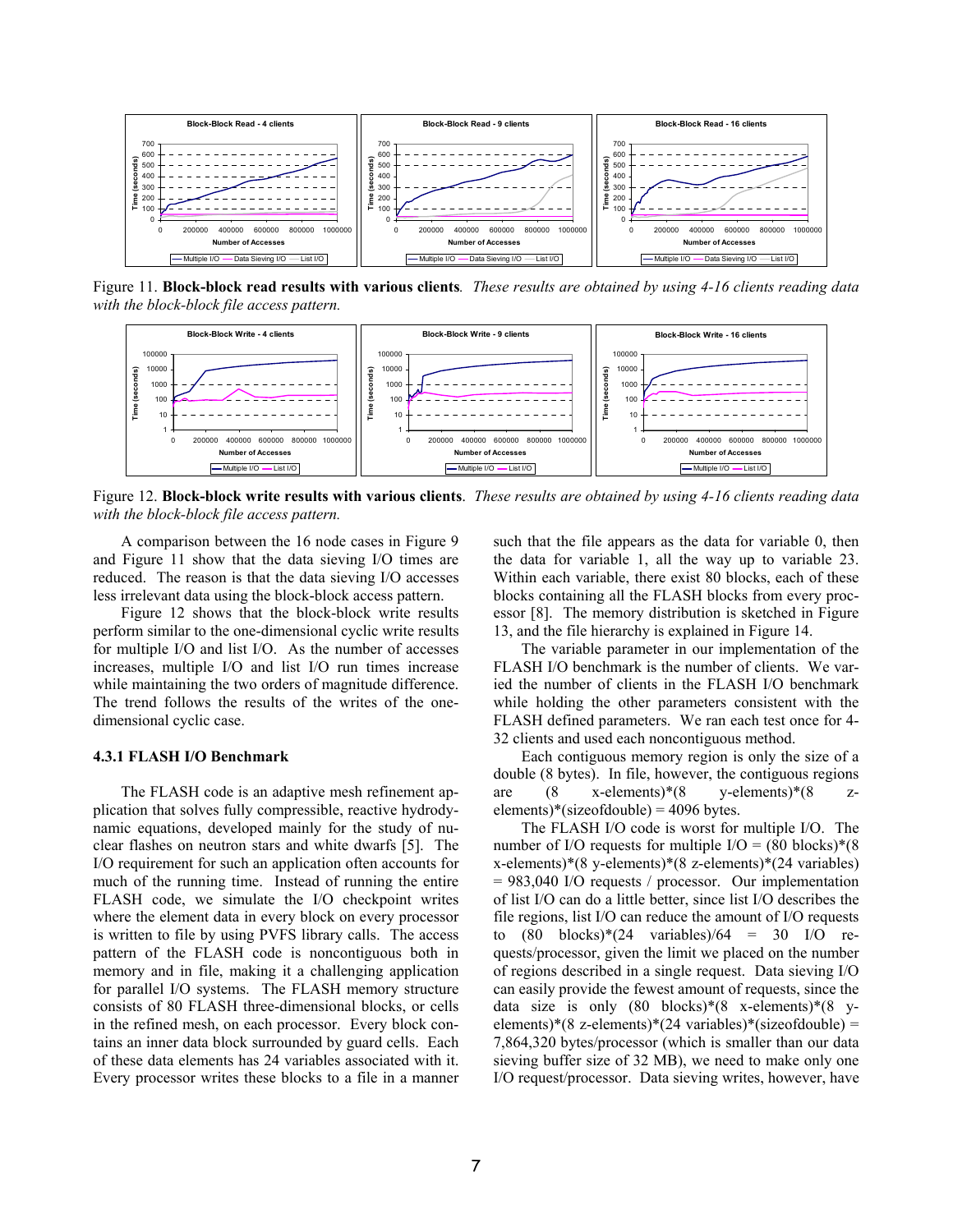<span id="page-6-0"></span>

Figure 11. **Block-block read results with various clients***. These results are obtained by using 4-16 clients reading data with the block-block file access pattern.*

<span id="page-6-1"></span>

Figure 12. **Block-block write results with various clients**. *These results are obtained by using 4-16 clients reading data with the block-block file access pattern.*

A comparison between the 16 node cases in [Figure 9](#page-5-1)  and [Figure 11](#page-6-0) show that the data sieving I/O times are reduced. The reason is that the data sieving I/O accesses less irrelevant data using the block-block access pattern.

[Figure 12](#page-6-1) shows that the block-block write results perform similar to the one-dimensional cyclic write results for multiple I/O and list I/O. As the number of accesses increases, multiple I/O and list I/O run times increase while maintaining the two orders of magnitude difference. The trend follows the results of the writes of the onedimensional cyclic case.

## **[4.](#page-3-0)3.1 FLASH I/O Benchmark**

The FLASH code is an adaptive mesh refinement application that solves fully compressible, reactive hydrodynamic equations, developed mainly for the study of nuclear flashes on neutron stars and white dwarfs [\[5\].](#page-9-9) The I/O requirement for such an application often accounts for much of the running time. Instead of running the entire FLASH code, we simulate the I/O checkpoint writes where the element data in every block on every processor is written to file by using PVFS library calls. The access pattern of the FLASH code is noncontiguous both in memory and in file, making it a challenging application for parallel I/O systems. The FLASH memory structure consists of 80 FLASH three-dimensional blocks, or cells in the refined mesh, on each processor. Every block contains an inner data block surrounded by guard cells. Each of these data elements has 24 variables associated with it. Every processor writes these blocks to a file in a manner

such that the file appears as the data for variable 0, then the data for variable 1, all the way up to variable 23. Within each variable, there exist 80 blocks, each of these blocks containing all the FLASH blocks from every processor [\[8\].](#page-9-10) The memory distribution is sketched in [Figure](#page-7-0)  1[3,](#page-7-0) and the file hierarchy is explained in [Figure 14.](#page-7-1)

The variable parameter in our implementation of the FLASH I/O benchmark is the number of clients. We varied the number of clients in the FLASH I/O benchmark while holding the other parameters consistent with the FLASH defined parameters. We ran each test once for 4- 32 clients and used each noncontiguous method.

Each contiguous memory region is only the size of a double (8 bytes). In file, however, the contiguous regions are (8 x-elements)\*(8 y-elements)\*(8 zelements)\*(sizeofdouble) = 4096 bytes.

The FLASH I/O code is worst for multiple I/O. The number of I/O requests for multiple  $I/O = (80$  blocks)\*(8) x-elements)\*(8 y-elements)\*(8 z-elements)\*(24 variables) = 983,040 I/O requests / processor. Our implementation of list I/O can do a little better, since list I/O describes the file regions, list I/O can reduce the amount of I/O requests to  $(80 \text{ blocks})^*(24 \text{ variables})/64 = 30 \text{ I/O}$  requests/processor, given the limit we placed on the number of regions described in a single request. Data sieving I/O can easily provide the fewest amount of requests, since the data size is only (80 blocks)\*(8 x-elements)\*(8 yelements)\*(8 z-elements)\*(24 variables)\*(sizeofdouble) = 7,864,320 bytes/processor (which is smaller than our data sieving buffer size of 32 MB), we need to make only one I/O request/processor. Data sieving writes, however, have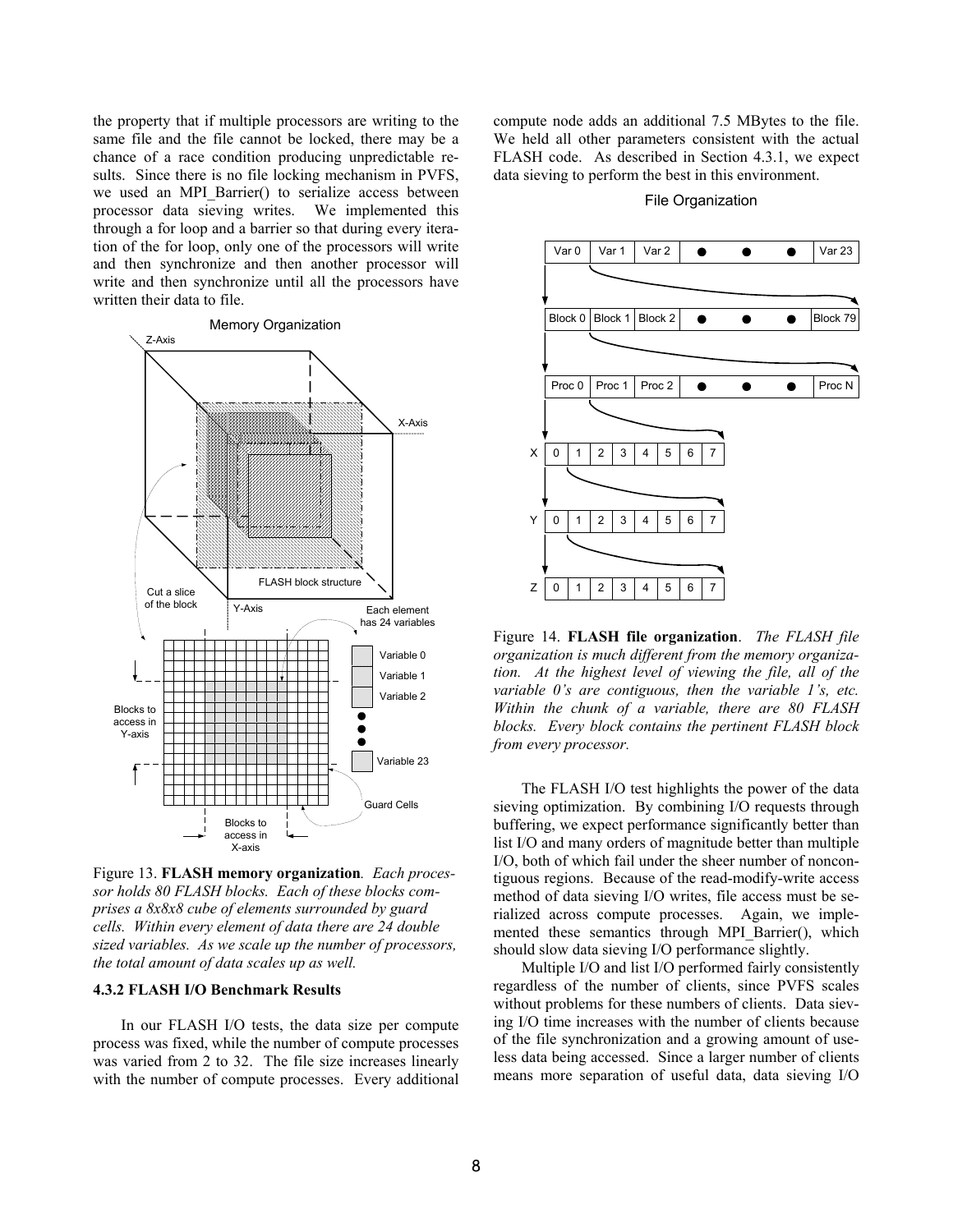the property that if multiple processors are writing to the same file and the file cannot be locked, there may be a chance of a race condition producing unpredictable results. Since there is no file locking mechanism in PVFS, we used an MPI\_Barrier() to serialize access between processor data sieving writes. We implemented this through a for loop and a barrier so that during every iteration of the for loop, only one of the processors will write and then synchronize and then another processor will write and then synchronize until all the processors have written their data to file.

<span id="page-7-0"></span>

Figure 13. **FLASH memory organization***. Each processor holds 80 FLASH blocks. Each of these blocks comprises a 8x8x8 cube of elements surrounded by guard cells. Within every element of data there are 24 double sized variables. As we scale up the number of processors, the total amount of data scales up as well.*

#### **[4.](#page-3-0)3.2 FLASH I/O Benchmark Results**

In our FLASH I/O tests, the data size per compute process was fixed, while the number of compute processes was varied from 2 to 32. The file size increases linearly with the number of compute processes. Every additional

compute node adds an additional 7.5 MBytes to the file. We held all other parameters consistent with the actual FLASH code. As described in Section [4.](#page-3-0)3.1, we expect data sieving to perform the best in this environment.

#### File Organization

<span id="page-7-1"></span>

Figure 14. **FLASH file organization**. *The FLASH file organization is much different from the memory organization. At the highest level of viewing the file, all of the variable 0's are contiguous, then the variable 1's, etc. Within the chunk of a variable, there are 80 FLASH blocks. Every block contains the pertinent FLASH block from every processor.*

The FLASH I/O test highlights the power of the data sieving optimization. By combining I/O requests through buffering, we expect performance significantly better than list I/O and many orders of magnitude better than multiple I/O, both of which fail under the sheer number of noncontiguous regions. Because of the read-modify-write access method of data sieving I/O writes, file access must be serialized across compute processes. Again, we implemented these semantics through MPI\_Barrier(), which should slow data sieving I/O performance slightly.

Multiple I/O and list I/O performed fairly consistently regardless of the number of clients, since PVFS scales without problems for these numbers of clients. Data sieving I/O time increases with the number of clients because of the file synchronization and a growing amount of useless data being accessed. Since a larger number of clients means more separation of useful data, data sieving I/O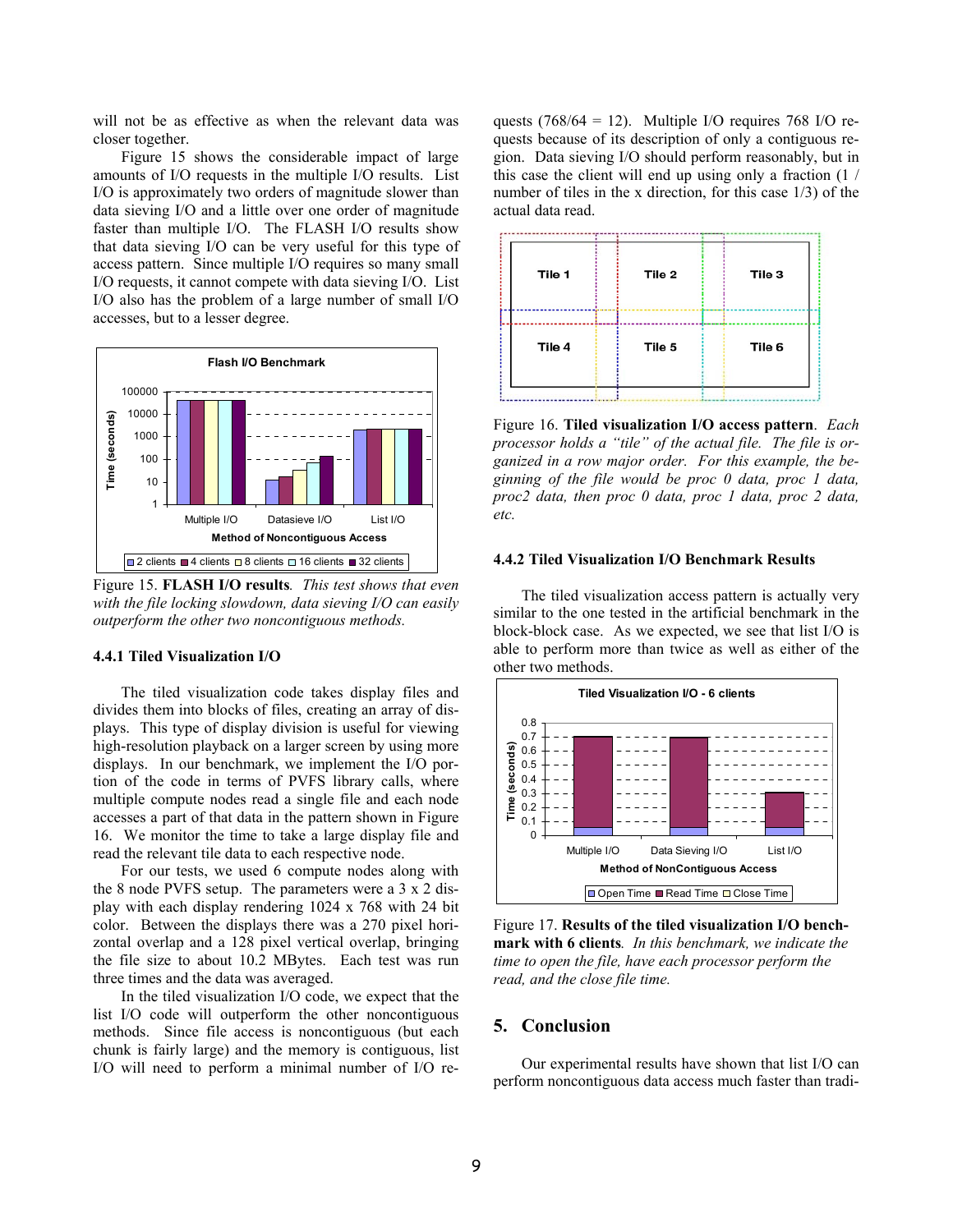will not be as effective as when the relevant data was closer together.

[Figure 15](#page-8-1) shows the considerable impact of large amounts of I/O requests in the multiple I/O results. List I/O is approximately two orders of magnitude slower than data sieving I/O and a little over one order of magnitude faster than multiple I/O. The FLASH I/O results show that data sieving I/O can be very useful for this type of access pattern. Since multiple I/O requires so many small I/O requests, it cannot compete with data sieving I/O. List I/O also has the problem of a large number of small I/O accesses, but to a lesser degree.

<span id="page-8-1"></span>

Figure 15. **FLASH I/O results***. This test shows that even with the file locking slowdown, data sieving I/O can easily outperform the other two noncontiguous methods.*

#### **[4.](#page-3-0)4.1 Tiled Visualization I/O**

The tiled visualization code takes display files and divides them into blocks of files, creating an array of displays. This type of display division is useful for viewing high-resolution playback on a larger screen by using more displays. In our benchmark, we implement the I/O portion of the code in terms of PVFS library calls, where multiple compute nodes read a single file and each node accesses a part of that data in the pattern shown in [Figure](#page-8-2)  16[.](#page-8-2) We monitor the time to take a large display file and read the relevant tile data to each respective node.

For our tests, we used 6 compute nodes along with the 8 node PVFS setup. The parameters were a 3 x 2 display with each display rendering 1024 x 768 with 24 bit color. Between the displays there was a 270 pixel horizontal overlap and a 128 pixel vertical overlap, bringing the file size to about 10.2 MBytes. Each test was run three times and the data was averaged.

In the tiled visualization I/O code, we expect that the list I/O code will outperform the other noncontiguous methods. Since file access is noncontiguous (but each chunk is fairly large) and the memory is contiguous, list I/O will need to perform a minimal number of I/O re-

quests (768/64 = 12). Multiple I/O requires 768 I/O requests because of its description of only a contiguous region. Data sieving I/O should perform reasonably, but in this case the client will end up using only a fraction (1 / number of tiles in the x direction, for this case 1/3) of the actual data read.

<span id="page-8-2"></span>

Figure 16. **Tiled visualization I/O access pattern**. *Each processor holds a "tile" of the actual file. The file is organized in a row major order. For this example, the beginning of the file would be proc 0 data, proc 1 data, proc2 data, then proc 0 data, proc 1 data, proc 2 data, etc.* 

## **[4.4](#page-3-0).2 Tiled Visualization I/O Benchmark Results**

The tiled visualization access pattern is actually very similar to the one tested in the artificial benchmark in the block-block case. As we expected, we see that list I/O is able to perform more than twice as well as either of the other two methods.



Figure 17. **Results of the tiled visualization I/O benchmark with 6 clients***. In this benchmark, we indicate the time to open the file, have each processor perform the read, and the close file time.*

# <span id="page-8-0"></span>**5. Conclusion**

Our experimental results have shown that list I/O can perform noncontiguous data access much faster than tradi